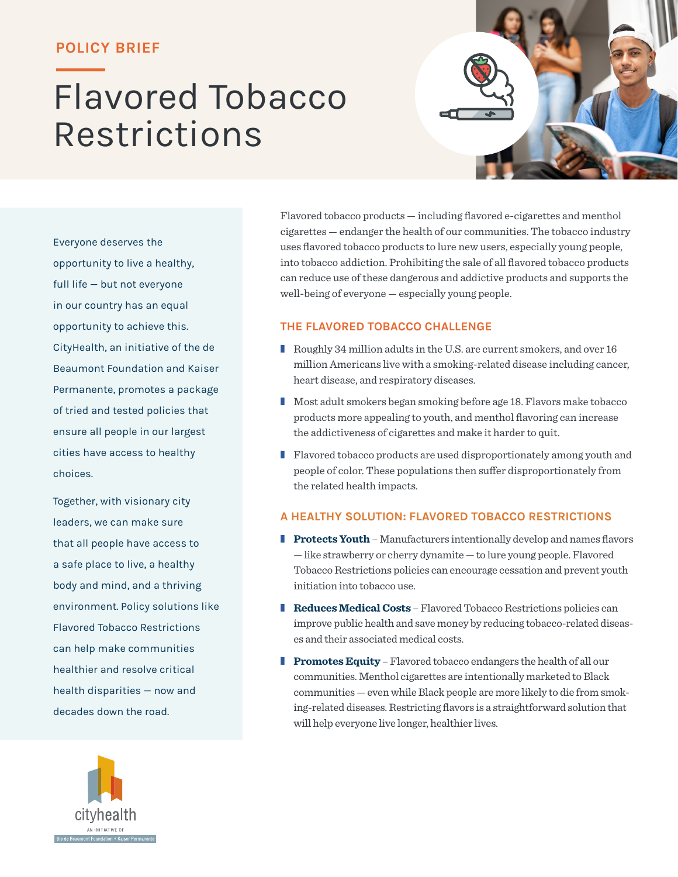### **POLICY BRIEF**

# Flavored Tobacco Restrictions



Everyone deserves the opportunity to live a healthy, full life — but not everyone in our country has an equal opportunity to achieve this. CityHealth, an initiative of the de Beaumont Foundation and Kaiser Permanente, promotes a package of tried and tested policies that ensure all people in our largest cities have access to healthy choices.

Together, with visionary city leaders, we can make sure that all people have access to a safe place to live, a healthy body and mind, and a thriving environment. Policy solutions like Flavored Tobacco Restrictions can help make communities healthier and resolve critical health disparities — now and decades down the road.



Flavored tobacco products — including flavored e-cigarettes and menthol cigarettes — endanger the health of our communities. The tobacco industry uses flavored tobacco products to lure new users, especially young people, into tobacco addiction. Prohibiting the sale of all flavored tobacco products can reduce use of these dangerous and addictive products and supports the well-being of everyone — especially young people.

#### **THE FLAVORED TOBACCO CHALLENGE**

- Roughly 34 million adults in the U.S. are current smokers, and over 16 million Americans live with a smoking-related disease including cancer, heart disease, and respiratory diseases.
- Most adult smokers began smoking before age 18. Flavors make tobacco products more appealing to youth, and menthol flavoring can increase the addictiveness of cigarettes and make it harder to quit.
- Flavored tobacco products are used disproportionately among youth and people of color. These populations then suffer disproportionately from the related health impacts.

#### **A HEALTHY SOLUTION: FLAVORED TOBACCO RESTRICTIONS**

- **Protects Youth** Manufacturers intentionally develop and names flavors — like strawberry or cherry dynamite — to lure young people. Flavored Tobacco Restrictions policies can encourage cessation and prevent youth initiation into tobacco use.
- **Reduces Medical Costs** Flavored Tobacco Restrictions policies can improve public health and save money by reducing tobacco-related diseases and their associated medical costs.
- **Promotes Equity** Flavored tobacco endangers the health of all our communities. Menthol cigarettes are intentionally marketed to Black communities — even while Black people are more likely to die from smoking-related diseases. Restricting flavors is a straightforward solution that will help everyone live longer, healthier lives.